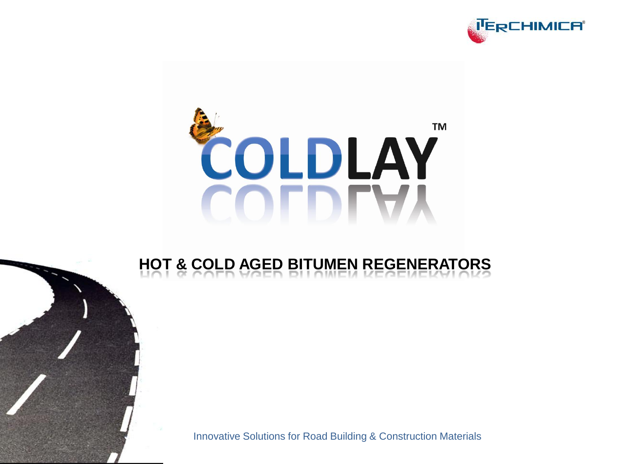

# **TM** COLDLAY **COLDLAY**

## **HOT & COLD AGED BITUMEN REGENERATORS**

Innovative Solutions for Road Building & Construction Materials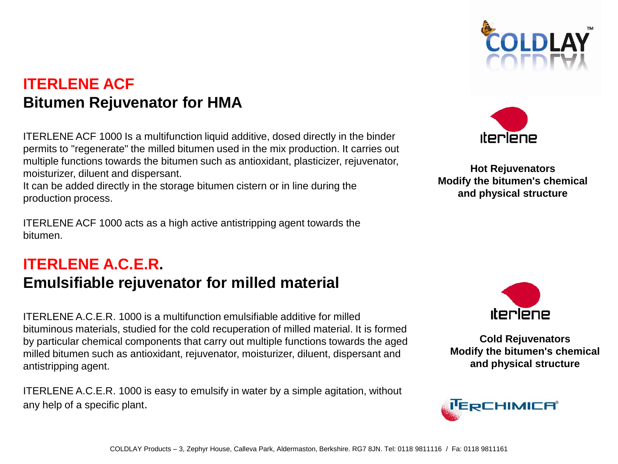## **ITERLENE ACF Bitumen Rejuvenator for HMA**

ITERLENE ACF 1000 Is a multifunction liquid additive, dosed directly in the binder permits to "regenerate" the milled bitumen used in the mix production. It carries out multiple functions towards the bitumen such as antioxidant, plasticizer, rejuvenator, moisturizer, diluent and dispersant.

It can be added directly in the storage bitumen cistern or in line during the production process.

ITERLENE ACF 1000 acts as a high active antistripping agent towards the bitumen.

## **ITERLENE A.C.E.R. Emulsifiable rejuvenator for milled material**

ITERLENE A.C.E.R. 1000 is a multifunction emulsifiable additive for milled bituminous materials, studied for the cold recuperation of milled material. It is formed by particular chemical components that carry out multiple functions towards the aged milled bitumen such as antioxidant, rejuvenator, moisturizer, diluent, dispersant and antistripping agent.

ITERLENE A.C.E.R. 1000 is easy to emulsify in water by a simple agitation, without any help of a specific plant.





**Hot Rejuvenators Modify the bitumen's chemical and physical structure**



**Cold Rejuvenators Modify the bitumen's chemical and physical structure**

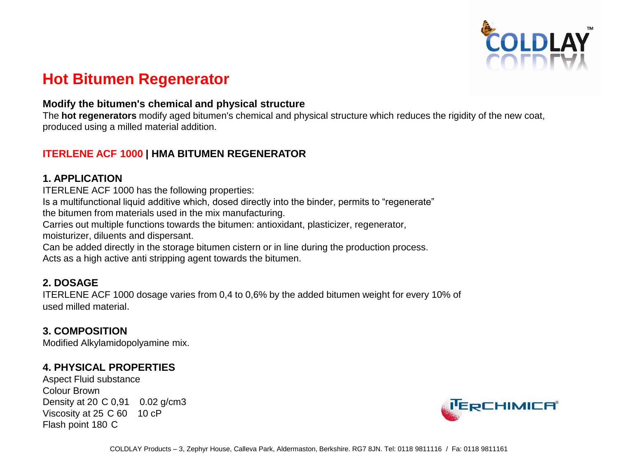

### **Hot Bitumen Regenerator**

#### **Modify the bitumen's chemical and physical structure**

The **hot regenerators** modify aged bitumen's chemical and physical structure which reduces the rigidity of the new coat, produced using a milled material addition.

#### **ITERLENE ACF 1000 | HMA BITUMEN REGENERATOR**

#### **1. APPLICATION**

ITERLENE ACF 1000 has the following properties:

Is a multifunctional liquid additive which, dosed directly into the binder, permits to "regenerate"

the bitumen from materials used in the mix manufacturing.

Carries out multiple functions towards the bitumen: antioxidant, plasticizer, regenerator, moisturizer, diluents and dispersant.

Can be added directly in the storage bitumen cistern or in line during the production process. Acts as a high active anti stripping agent towards the bitumen.

#### **2. DOSAGE**

ITERLENE ACF 1000 dosage varies from 0,4 to 0,6% by the added bitumen weight for every 10% of used milled material.

#### **3. COMPOSITION**

Modified Alkylamidopolyamine mix.

#### **4. PHYSICAL PROPERTIES**

Aspect Fluid substance Colour Brown Density at 20 C 0,91 0.02 g/cm3 Viscosity at 25 C 60 10 cP Flash point 180 C